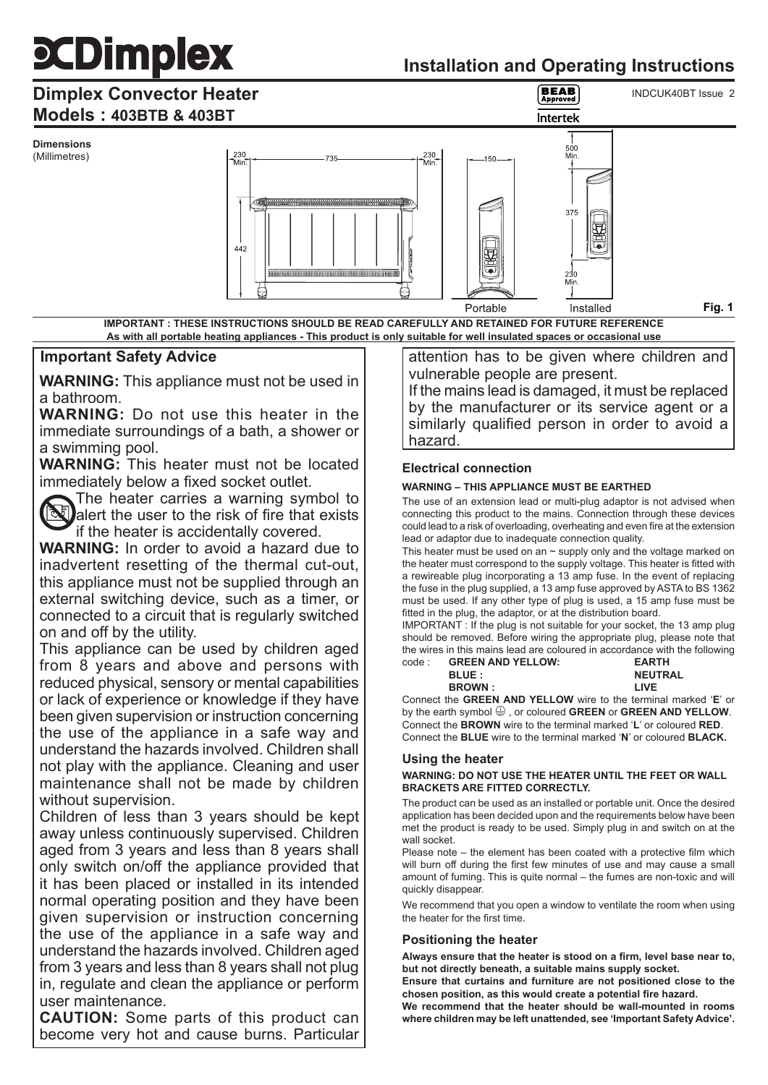# **3CDimplex**

# **Installation and Operating Instructions**

## **Dimplex Convector Heater Models : 403BTB & 403BT**

**BEAB**<br>Approved

INDCUK40BT Issue 2

**Fig. 1**

**Dimensions** (Millimetres)



**IMPORTANT : THESE INSTRUCTIONS SHOULD BE READ CAREFULLY AND RETAINED FOR FUTURE REFERENCE As with all portable heating appliances - This product is only suitable for well insulated spaces or occasional use**

### **Important Safety Advice**

**WARNING:** This appliance must not be used in a bathroom.

**WARNING:** Do not use this heater in the immediate surroundings of a bath, a shower or a swimming pool.

**WARNING:** This heater must not be located immediately below a fixed socket outlet.

The heater carries a warning symbol to alert the user to the risk of fire that exists if the heater is accidentally covered.

**WARNING:** In order to avoid a hazard due to inadvertent resetting of the thermal cut-out, this appliance must not be supplied through an external switching device, such as a timer, or connected to a circuit that is regularly switched on and off by the utility.

This appliance can be used by children aged from 8 years and above and persons with reduced physical, sensory or mental capabilities or lack of experience or knowledge if they have been given supervision or instruction concerning the use of the appliance in a safe way and understand the hazards involved. Children shall not play with the appliance. Cleaning and user maintenance shall not be made by children without supervision.

Children of less than 3 years should be kept away unless continuously supervised. Children aged from 3 years and less than 8 years shall only switch on/off the appliance provided that it has been placed or installed in its intended normal operating position and they have been given supervision or instruction concerning the use of the appliance in a safe way and understand the hazards involved. Children aged from 3 years and less than 8 years shall not plug in, regulate and clean the appliance or perform user maintenance.

**CAUTION:** Some parts of this product can become very hot and cause burns. Particular

attention has to be given where children and vulnerable people are present.

If the mains lead is damaged, it must be replaced by the manufacturer or its service agent or a similarly qualified person in order to avoid a hazard.

#### **Electrical connection**

#### **WARNING – THIS APPLIANCE MUST BE EARTHED**

The use of an extension lead or multi-plug adaptor is not advised when connecting this product to the mains. Connection through these devices could lead to a risk of overloading, overheating and even fire at the extension lead or adaptor due to inadequate connection quality.

This heater must be used on an  $\sim$  supply only and the voltage marked on the heater must correspond to the supply voltage. This heater is fitted with a rewireable plug incorporating a 13 amp fuse. In the event of replacing the fuse in the plug supplied, a 13 amp fuse approved by ASTA to BS 1362 must be used. If any other type of plug is used, a 15 amp fuse must be fitted in the plug, the adaptor, or at the distribution board.

IMPORTANT : If the plug is not suitable for your socket, the 13 amp plug should be removed. Before wiring the appropriate plug, please note that the wires in this mains lead are coloured in accordance with the following  $code:$  **GREEN AND YELLOW** code : **GREEN AND YELLOW: EARTH**

| ⊏. | UREEN AND TELLUW. | <b>CARIO</b>   |
|----|-------------------|----------------|
|    | <b>BLUE:</b>      | <b>NEUTRAL</b> |
|    | <b>BROWN:</b>     | <b>I IVF</b>   |
|    |                   |                |

Connect the **GREEN AND YELLOW** wire to the terminal marked '**E**' or by the earth symbol , or coloured **GREEN** or **GREEN AND YELLOW**. Connect the **BROWN** wire to the terminal marked '**L**' or coloured **RED**. Connect the **BLUE** wire to the terminal marked '**N**' or coloured **BLACK.**

#### **Using the heater**

#### **WARNING: DO NOT USE THE HEATER UNTIL THE FEET OR WALL BRACKETS ARE FITTED CORRECTLY.**

The product can be used as an installed or portable unit. Once the desired application has been decided upon and the requirements below have been met the product is ready to be used. Simply plug in and switch on at the wall socket.

Please note – the element has been coated with a protective film which will burn off during the first few minutes of use and may cause a small amount of fuming. This is quite normal – the fumes are non-toxic and will quickly disappear.

We recommend that you open a window to ventilate the room when using the heater for the first time.

#### **Positioning the heater**

**Always ensure that the heater is stood on a firm, level base near to, but not directly beneath, a suitable mains supply socket.** 

**Ensure that curtains and furniture are not positioned close to the chosen position, as this would create a potential fire hazard.**

**We recommend that the heater should be wall-mounted in rooms where children may be left unattended, see 'Important Safety Advice'.**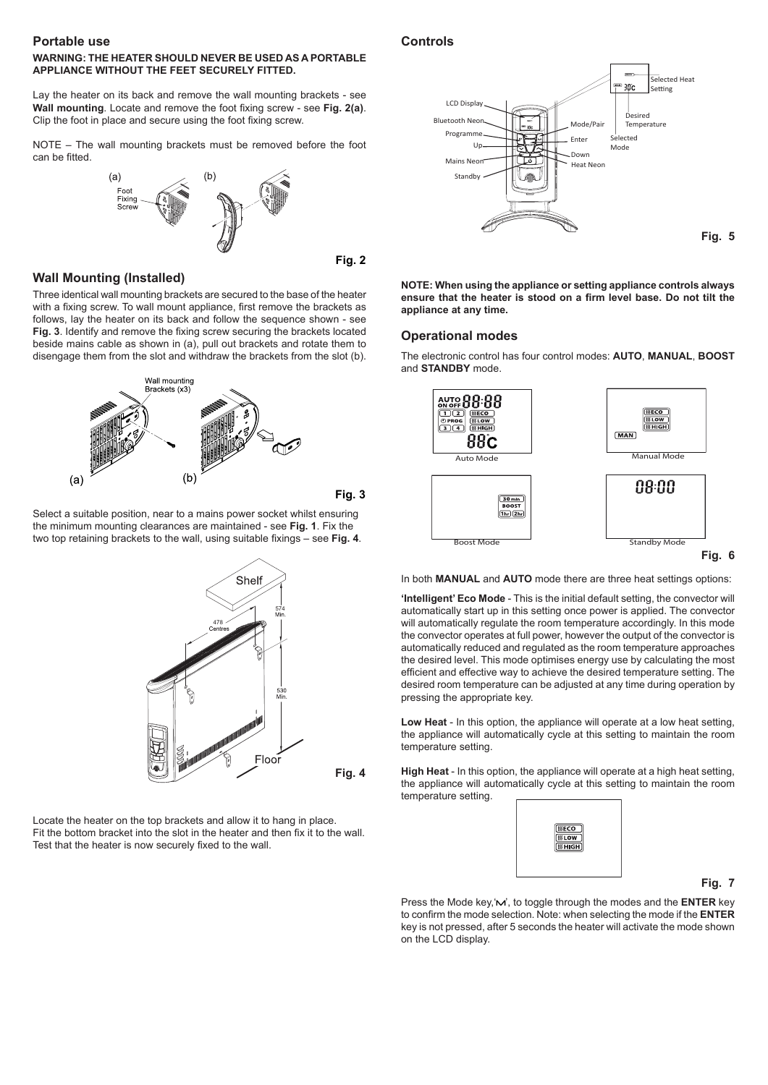#### **Portable use**

#### **WARNING: THE HEATER SHOULD NEVER BE USED AS A PORTABLE APPLIANCE WITHOUT THE FEET SECURELY FITTED.**

Lay the heater on its back and remove the wall mounting brackets - see **Wall mounting**. Locate and remove the foot fixing screw - see **Fig. 2(a)**. Clip the foot in place and secure using the foot fixing screw.

NOTE – The wall mounting brackets must be removed before the foot can be fitted.



#### **Wall Mounting (Installed)**

Three identical wall mounting brackets are secured to the base of the heater with a fixing screw. To wall mount appliance, first remove the brackets as follows, lay the heater on its back and follow the sequence shown - see **Fig. 3**. Identify and remove the fixing screw securing the brackets located beside mains cable as shown in (a), pull out brackets and rotate them to disengage them from the slot and withdraw the brackets from the slot (b).



**Fig. 3**

**Fig. 2**

Select a suitable position, near to a mains power socket whilst ensuring the minimum mounting clearances are maintained - see **Fig. 1**. Fix the two top retaining brackets to the wall, using suitable fixings – see **Fig. 4**.



Locate the heater on the top brackets and allow it to hang in place. Fit the bottom bracket into the slot in the heater and then fix it to the wall. Test that the heater is now securely fixed to the wall.

**Controls** 



**NOTE: When using the appliance or setting appliance controls always ensure that the heater is stood on a firm level base. Do not tilt the appliance at any time.**

#### **Operational modes**

The electronic control has four control modes: **AUTO**, **MANUAL**, **BOOST** and **STANDBY** mode.



In both **MANUAL** and **AUTO** mode there are three heat settings options:

**'Intelligent' Eco Mode** - This is the initial default setting, the convector will automatically start up in this setting once power is applied. The convector will automatically regulate the room temperature accordingly. In this mode the convector operates at full power, however the output of the convector is automatically reduced and regulated as the room temperature approaches the desired level. This mode optimises energy use by calculating the most efficient and effective way to achieve the desired temperature setting. The desired room temperature can be adjusted at any time during operation by pressing the appropriate key.

**Low Heat** - In this option, the appliance will operate at a low heat setting, the appliance will automatically cycle at this setting to maintain the room temperature setting.

**High Heat** - In this option, the appliance will operate at a high heat setting the appliance will automatically cycle at this setting to maintain the room temperature setting.



**Fig. 7**

Press the Mode key, ' $\mathsf{w}'$ ', to toggle through the modes and the **ENTER** key to confirm the mode selection. Note: when selecting the mode if the **ENTER** key is not pressed, after 5 seconds the heater will activate the mode shown on the LCD display.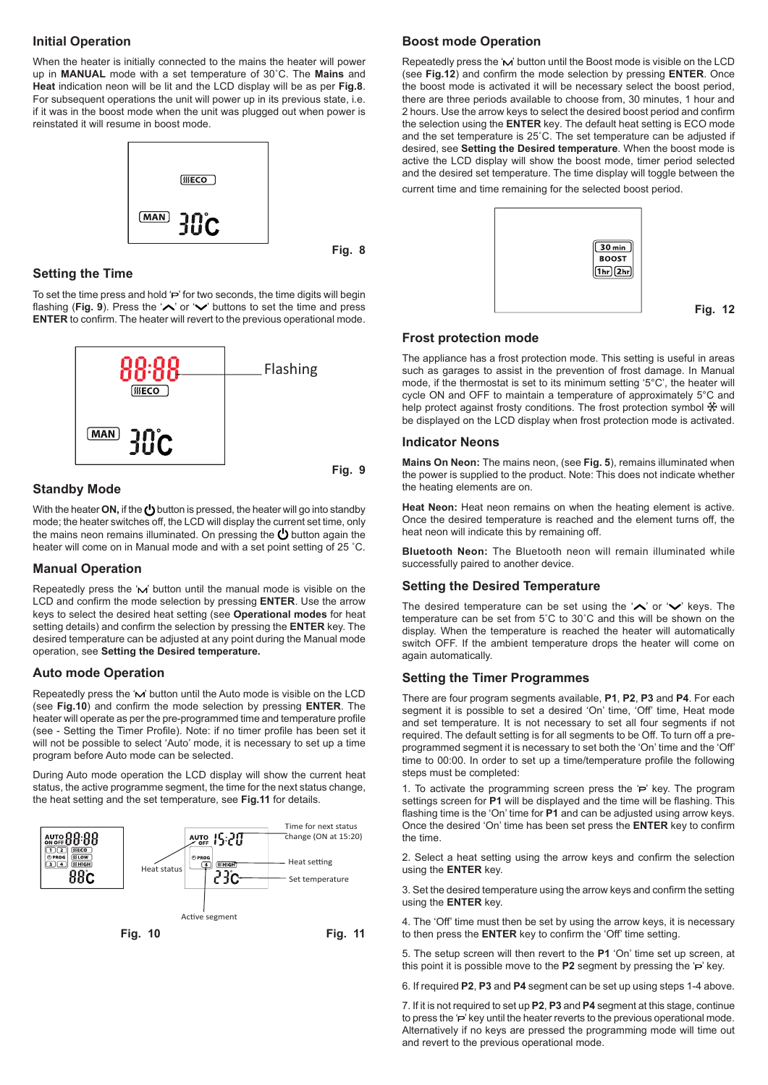#### **Initial Operation**

When the heater is initially connected to the mains the heater will power up in **MANUAL** mode with a set temperature of 30˚C. The **Mains** and **Heat** indication neon will be lit and the LCD display will be as per **Fig.8**. For subsequent operations the unit will power up in its previous state, i.e. if it was in the boost mode when the unit was plugged out when power is reinstated it will resume in boost mode.



**Fig. 8**

#### **Setting the Time**

To set the time press and hold 'P' for two seconds, the time digits will begin flashing (Fig. 9). Press the ' $\sim$ ' or ' $\vee$ ' buttons to set the time and press **ENTER** to confirm. The heater will revert to the previous operational mode.



#### **Standby Mode**

With the heater **ON**, if the **c**<sup>1</sup>) button is pressed, the heater will go into standby mode; the heater switches off, the LCD will display the current set time, only the mains neon remains illuminated. On pressing the  $\bigcup$  button again the heater will come on in Manual mode and with a set point setting of 25 ˚C.

#### **Manual Operation**

Repeatedly press the ' $M$ ' button until the manual mode is visible on the LCD and confirm the mode selection by pressing **ENTER**. Use the arrow keys to select the desired heat setting (see **Operational modes** for heat setting details) and confirm the selection by pressing the **ENTER** key. The desired temperature can be adjusted at any point during the Manual mode operation, see **Setting the Desired temperature.** 

#### **Auto mode Operation**

Repeatedly press the 'M' button until the Auto mode is visible on the LCD (see **Fig.10**) and confirm the mode selection by pressing **ENTER**. The heater will operate as per the pre-programmed time and temperature profile (see - Setting the Timer Profile). Note: if no timer profile has been set it will not be possible to select 'Auto' mode, it is necessary to set up a time program before Auto mode can be selected.

During Auto mode operation the LCD display will show the current heat status, the active programme segment, the time for the next status change, the heat setting and the set temperature, see **Fig.11** for details.



#### **Boost mode Operation**

Repeatedly press the ' $\mathsf{w}'$  button until the Boost mode is visible on the LCD (see **Fig.12**) and confirm the mode selection by pressing **ENTER**. Once the boost mode is activated it will be necessary select the boost period, there are three periods available to choose from, 30 minutes, 1 hour and 2 hours. Use the arrow keys to select the desired boost period and confirm the selection using the **ENTER** key. The default heat setting is ECO mode and the set temperature is 25˚C. The set temperature can be adjusted if desired, see **Setting the Desired temperature**. When the boost mode is active the LCD display will show the boost mode, timer period selected and the desired set temperature. The time display will toggle between the current time and time remaining for the selected boost period.



**Fig. 12**

#### **Frost protection mode**

The appliance has a frost protection mode. This setting is useful in areas such as garages to assist in the prevention of frost damage. In Manual mode, if the thermostat is set to its minimum setting '5°C', the heater will cycle ON and OFF to maintain a temperature of approximately 5°C and help protect against frosty conditions. The frost protection symbol  $\mathcal$  will be displayed on the LCD display when frost protection mode is activated.

#### **Indicator Neons**

**Mains On Neon:** The mains neon, (see **Fig. 5**), remains illuminated when the power is supplied to the product. Note: This does not indicate whether the heating elements are on.

**Heat Neon:** Heat neon remains on when the heating element is active. Once the desired temperature is reached and the element turns off, the heat neon will indicate this by remaining off.

**Bluetooth Neon:** The Bluetooth neon will remain illuminated while successfully paired to another device.

#### **Setting the Desired Temperature**

The desired temperature can be set using the ' $\sim$ ' or ' $\vee$ ' keys. The temperature can be set from 5˚C to 30˚C and this will be shown on the display. When the temperature is reached the heater will automatically switch OFF. If the ambient temperature drops the heater will come on again automatically.

#### **Setting the Timer Programmes**

There are four program segments available, **P1**, **P2**, **P3** and **P4**. For each segment it is possible to set a desired 'On' time, 'Off' time, Heat mode and set temperature. It is not necessary to set all four segments if not required. The default setting is for all segments to be Off. To turn off a preprogrammed segment it is necessary to set both the 'On' time and the 'Off' time to 00:00. In order to set up a time/temperature profile the following steps must be completed:

1. To activate the programming screen press the  $\overline{P}$  key. The program settings screen for **P1** will be displayed and the time will be flashing. This flashing time is the 'On' time for **P1** and can be adjusted using arrow keys. Once the desired 'On' time has been set press the **ENTER** key to confirm the time.

2. Select a heat setting using the arrow keys and confirm the selection using the **ENTER** key.

3. Set the desired temperature using the arrow keys and confirm the setting using the **ENTER** key.

4. The 'Off' time must then be set by using the arrow keys, it is necessary to then press the **ENTER** key to confirm the 'Off' time setting.

5. The setup screen will then revert to the **P1** 'On' time set up screen, at this point it is possible move to the  $P2$  segment by pressing the ' $P$ ' key.

6. If required **P2**, **P3** and **P4** segment can be set up using steps 1-4 above.

7. If it is not required to set up **P2**, **P3** and **P4** segment at this stage, continue to press the 'P' key until the heater reverts to the previous operational mode. Alternatively if no keys are pressed the programming mode will time out and revert to the previous operational mode.